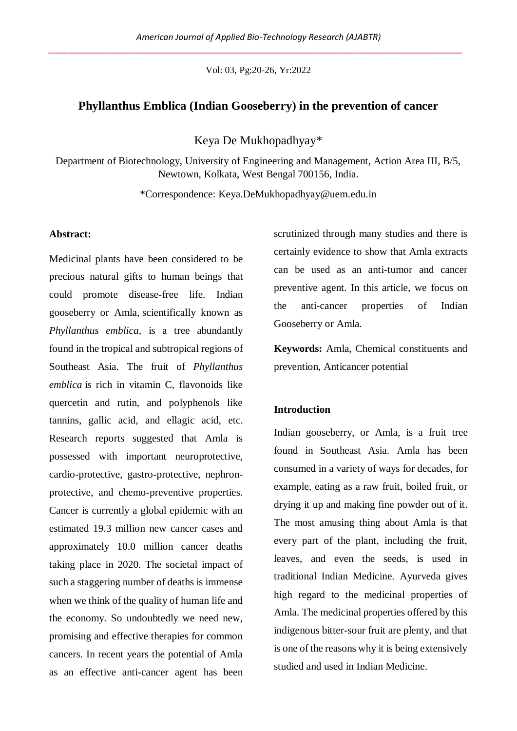Vol: 03, Pg:20-26, Yr:2022

# **Phyllanthus Emblica (Indian Gooseberry) in the prevention of cancer**

Keya De Mukhopadhyay\*

Department of Biotechnology, University of Engineering and Management, Action Area III, B/5, Newtown, Kolkata, West Bengal 700156, India.

\*Correspondence: [Keya.DeMukhopadhyay@uem.edu.in](mailto:Keya.DeMukhopadhyay@uem.edu.in)

## **Abstract:**

Medicinal plants have been considered to be precious natural gifts to human beings that could promote disease-free life. Indian gooseberry or Amla, scientifically known as *Phyllanthus emblica,* is a tree abundantly found in the tropical and subtropical regions of Southeast Asia. The fruit of *Phyllanthus emblica* is rich in vitamin C, flavonoids like quercetin and rutin, and polyphenols like tannins, gallic acid, and ellagic acid, etc. Research reports suggested that Amla is possessed with important neuroprotective, cardio-protective, gastro-protective, nephronprotective, and chemo-preventive properties. Cancer is currently a global epidemic with an estimated 19.3 million new cancer cases and approximately 10.0 million cancer deaths taking place in 2020. The societal impact of such a staggering number of deaths is immense when we think of the quality of human life and the economy. So undoubtedly we need new, promising and effective therapies for common cancers. In recent years the potential of Amla as an effective anti-cancer agent has been scrutinized through many studies and there is certainly evidence to show that Amla extracts can be used as an anti-tumor and cancer preventive agent. In this article, we focus on the anti-cancer properties of Indian Gooseberry or Amla.

**Keywords:** Amla, Chemical constituents and prevention, Anticancer potential

#### **Introduction**

Indian gooseberry, or Amla, is a fruit tree found in Southeast Asia. Amla has been consumed in a variety of ways for decades, for example, eating as a raw fruit, boiled fruit, or drying it up and making fine powder out of it. The most amusing thing about Amla is that every part of the plant, including the fruit, leaves, and even the seeds, is used in traditional Indian Medicine. Ayurveda gives high regard to the medicinal properties of Amla. The medicinal properties offered by this indigenous bitter-sour fruit are plenty, and that is one of the reasons why it is being extensively studied and used in Indian Medicine.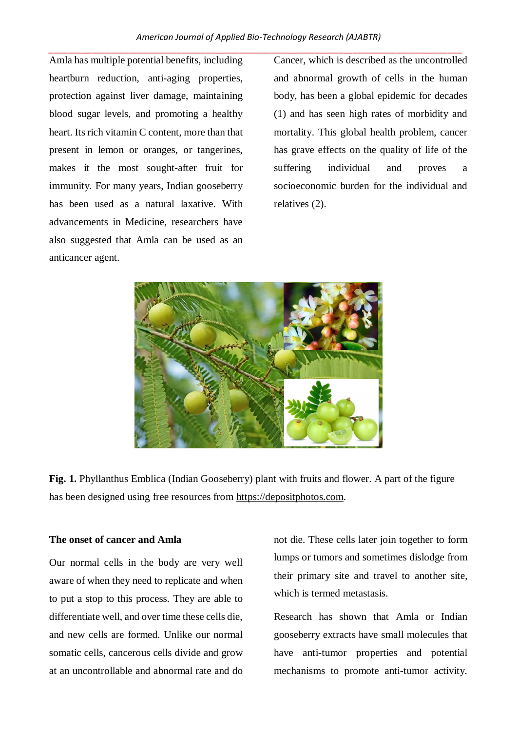Amla has multiple potential benefits, including heartburn reduction, anti-aging properties, protection against liver damage, maintaining blood sugar levels, and promoting a healthy heart. Its rich vitamin C content, more than that present in lemon or oranges, or tangerines, makes it the most sought-after fruit for immunity. For many years, Indian gooseberry has been used as a natural laxative. With advancements in Medicine, researchers have also suggested that Amla can be used as an anticancer agent.

Cancer, which is described as the uncontrolled and abnormal growth of cells in the human body, has been a global epidemic for decades (1) and has seen high rates of morbidity and mortality. This global health problem, cancer has grave effects on the quality of life of the suffering individual and proves a socioeconomic burden for the individual and relatives (2).



**Fig. 1.** Phyllanthus Emblica (Indian Gooseberry) plant with fruits and flower. A part of the figure has been designed using free resources from [https://depositphotos.com.](https://depositphotos.com/)

# **The onset of cancer and Amla**

Our normal cells in the body are very well aware of when they need to replicate and when to put a stop to this process. They are able to differentiate well, and over time these cells die, and new cells are formed. Unlike our normal somatic cells, cancerous cells divide and grow at an uncontrollable and abnormal rate and do

not die. These cells later join together to form lumps or tumors and sometimes dislodge from their primary site and travel to another site, which is termed metastasis.

Research has shown that Amla or Indian gooseberry extracts have small molecules that have anti-tumor properties and potential mechanisms to promote anti-tumor activity.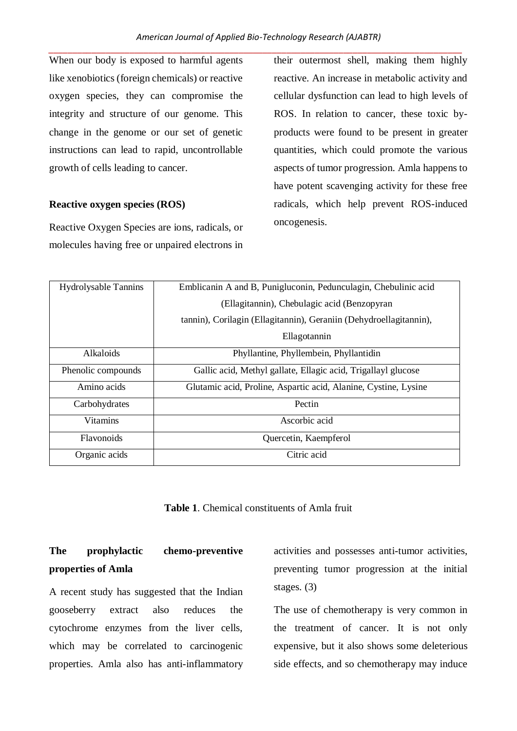When our body is exposed to harmful agents like xenobiotics (foreign chemicals) or reactive oxygen species, they can compromise the integrity and structure of our genome. This change in the genome or our set of genetic instructions can lead to rapid, uncontrollable growth of cells leading to cancer.

#### **Reactive oxygen species (ROS)**

Reactive Oxygen Species are ions, radicals, or molecules having free or unpaired electrons in their outermost shell, making them highly reactive. An increase in metabolic activity and cellular dysfunction can lead to high levels of ROS. In relation to cancer, these toxic byproducts were found to be present in greater quantities, which could promote the various aspects of tumor progression. Amla happens to have potent scavenging activity for these free radicals, which help prevent ROS-induced oncogenesis.

| <b>Hydrolysable Tannins</b> | Emblicanin A and B, Punigluconin, Pedunculagin, Chebulinic acid    |
|-----------------------------|--------------------------------------------------------------------|
|                             | (Ellagitannin), Chebulagic acid (Benzopyran                        |
|                             | tannin), Corilagin (Ellagitannin), Geraniin (Dehydroellagitannin), |
|                             | Ellagotannin                                                       |
| <b>Alkaloids</b>            | Phyllantine, Phyllembein, Phyllantidin                             |
| Phenolic compounds          | Gallic acid, Methyl gallate, Ellagic acid, Trigallayl glucose      |
| Amino acids                 | Glutamic acid, Proline, Aspartic acid, Alanine, Cystine, Lysine    |
| Carbohydrates               | Pectin                                                             |
| <b>Vitamins</b>             | Ascorbic acid                                                      |
| <b>Flavonoids</b>           | Quercetin, Kaempferol                                              |
| Organic acids               | Citric acid                                                        |

**Table 1**. Chemical constituents of Amla fruit

# **The prophylactic chemo-preventive properties of Amla**

A recent study has suggested that the Indian gooseberry extract also reduces the cytochrome enzymes from the liver cells, which may be correlated to carcinogenic properties. Amla also has anti-inflammatory activities and possesses anti-tumor activities, preventing tumor progression at the initial stages. (3)

The use of chemotherapy is very common in the treatment of cancer. It is not only expensive, but it also shows some deleterious side effects, and so chemotherapy may induce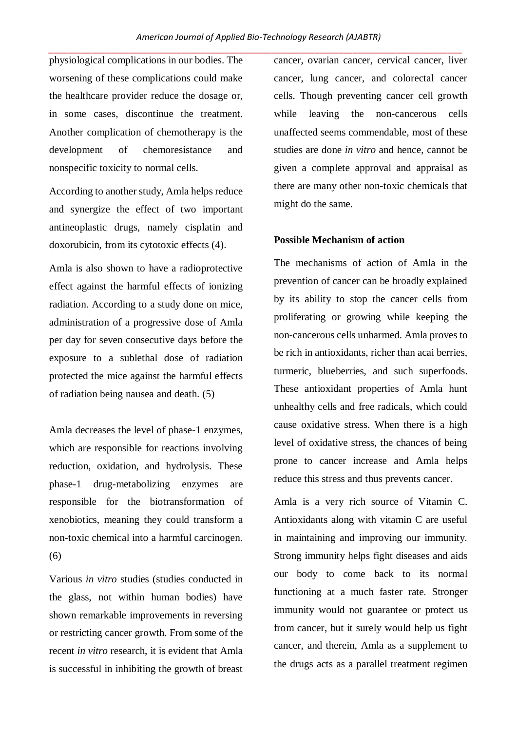physiological complications in our bodies. The worsening of these complications could make the healthcare provider reduce the dosage or, in some cases, discontinue the treatment. Another complication of chemotherapy is the development of chemoresistance and nonspecific toxicity to normal cells.

According to another study, Amla helps reduce and synergize the effect of two important antineoplastic drugs, namely cisplatin and doxorubicin, from its cytotoxic effects (4).

Amla is also shown to have a radioprotective effect against the harmful effects of ionizing radiation. According to a study done on mice, administration of a progressive dose of Amla per day for seven consecutive days before the exposure to a sublethal dose of radiation protected the mice against the harmful effects of radiation being nausea and death. (5)

Amla decreases the level of phase-1 enzymes, which are responsible for reactions involving reduction, oxidation, and hydrolysis. These phase-1 drug-metabolizing enzymes are responsible for the biotransformation of xenobiotics, meaning they could transform a non-toxic chemical into a harmful carcinogen. (6)

Various *in vitro* studies (studies conducted in the glass, not within human bodies) have shown remarkable improvements in reversing or restricting cancer growth. From some of the recent *in vitro* research, it is evident that Amla is successful in inhibiting the growth of breast cancer, ovarian cancer, cervical cancer, liver cancer, lung cancer, and colorectal cancer cells. Though preventing cancer cell growth while leaving the non-cancerous cells unaffected seems commendable, most of these studies are done *in vitro* and hence, cannot be given a complete approval and appraisal as there are many other non-toxic chemicals that might do the same.

#### **Possible Mechanism of action**

The mechanisms of action of Amla in the prevention of cancer can be broadly explained by its ability to stop the cancer cells from proliferating or growing while keeping the non-cancerous cells unharmed. Amla proves to be rich in antioxidants, richer than acai berries, turmeric, blueberries, and such superfoods. These antioxidant properties of Amla hunt unhealthy cells and free radicals, which could cause oxidative stress. When there is a high level of oxidative stress, the chances of being prone to cancer increase and Amla helps reduce this stress and thus prevents cancer.

Amla is a very rich source of Vitamin C. Antioxidants along with vitamin C are useful in maintaining and improving our immunity. Strong immunity helps fight diseases and aids our body to come back to its normal functioning at a much faster rate. Stronger immunity would not guarantee or protect us from cancer, but it surely would help us fight cancer, and therein, Amla as a supplement to the drugs acts as a parallel treatment regimen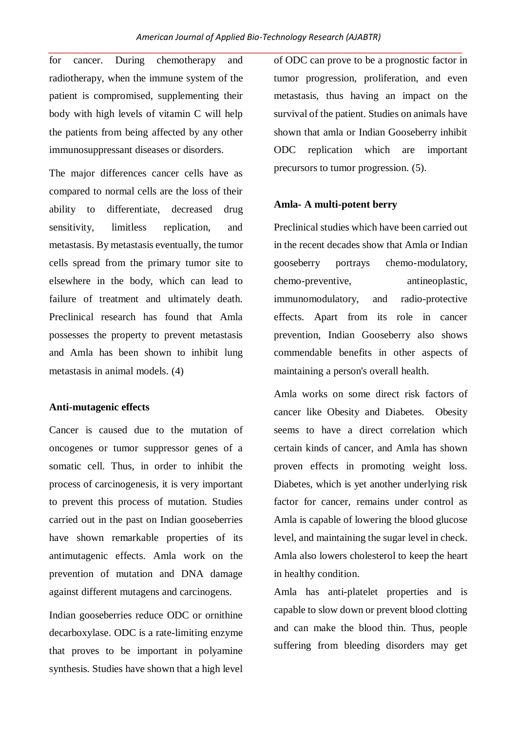for cancer. During chemotherapy and radiotherapy, when the immune system of the patient is compromised, supplementing their body with high levels of vitamin C will help the patients from being affected by any other immunosuppressant diseases or disorders.

The major differences cancer cells have as compared to normal cells are the loss of their ability to differentiate, decreased drug sensitivity, limitless replication, and metastasis. By metastasis eventually, the tumor cells spread from the primary tumor site to elsewhere in the body, which can lead to failure of treatment and ultimately death. Preclinical research has found that Amla possesses the property to prevent metastasis and Amla has been shown to inhibit lung metastasis in animal models. (4)

## **Anti-mutagenic effects**

Cancer is caused due to the mutation of oncogenes or tumor suppressor genes of a somatic cell. Thus, in order to inhibit the process of carcinogenesis, it is very important to prevent this process of mutation. Studies carried out in the past on Indian gooseberries have shown remarkable properties of its antimutagenic effects. Amla work on the prevention of mutation and DNA damage against different mutagens and carcinogens.

Indian gooseberries reduce ODC or ornithine decarboxylase. ODC is a rate-limiting enzyme that proves to be important in polyamine synthesis. Studies have shown that a high level of ODC can prove to be a prognostic factor in tumor progression, proliferation, and even metastasis, thus having an impact on the survival of the patient. Studies on animals have shown that amla or Indian Gooseberry inhibit ODC replication which are important precursors to tumor progression. (5).

#### **Amla- A multi-potent berry**

Preclinical studies which have been carried out in the recent decades show that Amla or Indian gooseberry portrays chemo-modulatory, chemo-preventive, antineoplastic, immunomodulatory, and radio-protective effects. Apart from its role in cancer prevention, Indian Gooseberry also shows commendable benefits in other aspects of maintaining a person's overall health.

Amla works on some direct risk factors of cancer like Obesity and Diabetes. Obesity seems to have a direct correlation which certain kinds of cancer, and Amla has shown proven effects in promoting weight loss. Diabetes, which is yet another underlying risk factor for cancer, remains under control as Amla is capable of lowering the blood glucose level, and maintaining the sugar level in check. Amla also lowers cholesterol to keep the heart in healthy condition.

Amla has anti-platelet properties and is capable to slow down or prevent blood clotting and can make the blood thin. Thus, people suffering from bleeding disorders may get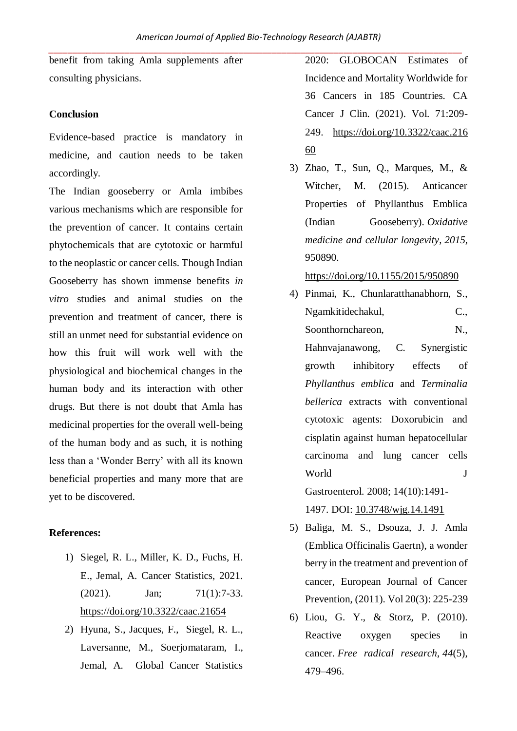benefit from taking Amla supplements after consulting physicians.

## **Conclusion**

Evidence-based practice is mandatory in medicine, and caution needs to be taken accordingly.

The Indian gooseberry or Amla imbibes various mechanisms which are responsible for the prevention of cancer. It contains certain phytochemicals that are cytotoxic or harmful to the neoplastic or cancer cells. Though Indian Gooseberry has shown immense benefits *in vitro* studies and animal studies on the prevention and treatment of cancer, there is still an unmet need for substantial evidence on how this fruit will work well with the physiological and biochemical changes in the human body and its interaction with other drugs. But there is not doubt that Amla has medicinal properties for the overall well-being of the human body and as such, it is nothing less than a 'Wonder Berry' with all its known beneficial properties and many more that are yet to be discovered.

## **References:**

- 1) Siegel, R. L., Miller, K. D., Fuchs, H. E., Jemal, A. Cancer Statistics, 2021.  $(2021)$ . Jan;  $71(1):7-33$ . <https://doi.org/10.3322/caac.21654>
- 2) [Hyuna,](https://acsjournals.onlinelibrary.wiley.com/action/doSearch?ContribAuthorRaw=Sung%2C+Hyuna) S., [Jacques,](https://acsjournals.onlinelibrary.wiley.com/action/doSearch?ContribAuthorRaw=Sung%2C+Hyuna) F., Siegel, R. L., [Laversanne,](https://acsjournals.onlinelibrary.wiley.com/action/doSearch?ContribAuthorRaw=Laversanne%2C+Mathieu) M., [Soerjomataram,](https://acsjournals.onlinelibrary.wiley.com/action/doSearch?ContribAuthorRaw=Laversanne%2C+Mathieu) I., [Jemal,](https://acsjournals.onlinelibrary.wiley.com/action/doSearch?ContribAuthorRaw=Soerjomataram%2C+Isabelle) A. Global Cancer Statistics

2020: GLOBOCAN Estimates of Incidence and Mortality Worldwide for 36 Cancers in 185 Countries. CA Cancer J Clin. (2021). Vol. 71:209- 249. [https://doi.org/10.3322/caac.216](https://doi.org/10.3322/caac.21660) [60](https://doi.org/10.3322/caac.21660)

3) Zhao, T., Sun, Q., Marques, M., & Witcher, M. (2015). Anticancer Properties of Phyllanthus Emblica (Indian Gooseberry). *Oxidative medicine and cellular longevity*, *2015*, 950890.

<https://doi.org/10.1155/2015/950890>

- 4) Pinmai, K., Chunlaratthanabhorn, S., Ngamkitidechakul, C., Soonthornchareon, N., Hahnvajanawong, C. Synergistic growth inhibitory effects of *Phyllanthus emblica* and *Terminalia bellerica* extracts with conventional cytotoxic agents: Doxorubicin and cisplatin against human hepatocellular carcinoma and lung cancer cells World J Gastroenterol. 2008; 14(10):1491- 1497. DOI: [10.3748/wjg.14.1491](https://dx.doi.org/10.3748/wjg.14.1491)
- 5) Baliga, M. S., Dsouza, J. J. Amla (Emblica Officinalis Gaertn), a wonder berry in the treatment and prevention of cancer, European Journal of Cancer Prevention, (2011). Vol 20(3): 225-239
- 6) Liou, G. Y., & Storz, P. (2010). Reactive oxygen species in cancer. *Free radical research*, *44*(5), 479–496.